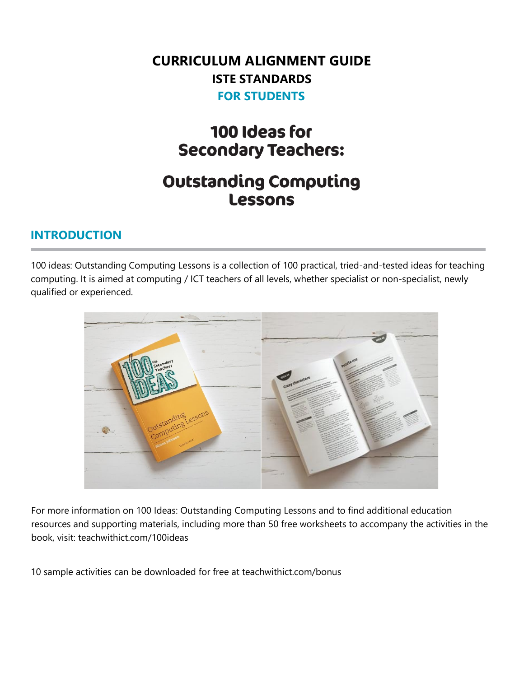# **CURRICULUM ALIGNMENT GUIDE ISTE STANDARDS FOR STUDENTS**

# 100 Ideas for **Secondary Teachers:**

# **Outstanding Computing Lessons**

#### **INTRODUCTION**

100 ideas: Outstanding Computing Lessons is a collection of 100 practical, tried-and-tested ideas for teaching computing. It is aimed at computing / ICT teachers of all levels, whether specialist or non-specialist, newly qualified or experienced.



For more information on 100 Ideas: Outstanding Computing Lessons and to find additional education resources and supporting materials, including more than 50 free worksheets to accompany the activities in the book, visit: teachwithict.com/100ideas

10 sample activities can be downloaded for free at teachwithict.com/bonus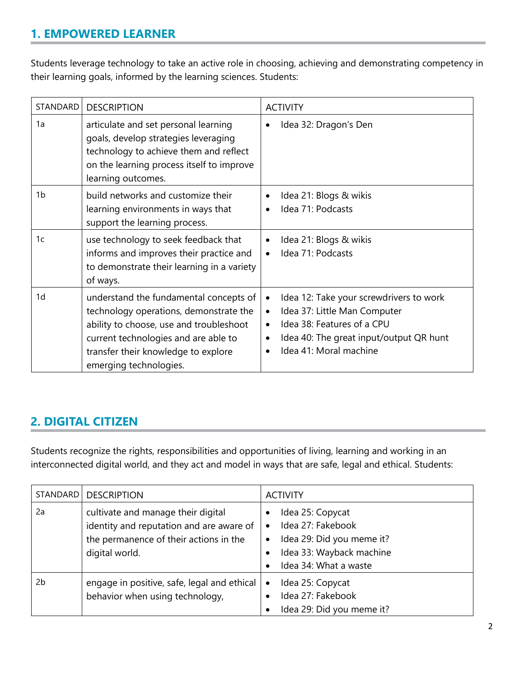### **1. EMPOWERED LEARNER**

Students leverage technology to take an active role in choosing, achieving and demonstrating competency in their learning goals, informed by the learning sciences. Students:

| STANDARD       | <b>DESCRIPTION</b>                                                                                                                                                                                                                   | <b>ACTIVITY</b>                                                                                                                                                                                                                |
|----------------|--------------------------------------------------------------------------------------------------------------------------------------------------------------------------------------------------------------------------------------|--------------------------------------------------------------------------------------------------------------------------------------------------------------------------------------------------------------------------------|
| 1a             | articulate and set personal learning<br>goals, develop strategies leveraging<br>technology to achieve them and reflect<br>on the learning process itself to improve<br>learning outcomes.                                            | Idea 32: Dragon's Den                                                                                                                                                                                                          |
| 1b             | build networks and customize their<br>learning environments in ways that<br>support the learning process.                                                                                                                            | Idea 21: Blogs & wikis<br>Idea 71: Podcasts                                                                                                                                                                                    |
| 1c             | use technology to seek feedback that<br>informs and improves their practice and<br>to demonstrate their learning in a variety<br>of ways.                                                                                            | Idea 21: Blogs & wikis<br>$\bullet$<br>Idea 71: Podcasts                                                                                                                                                                       |
| 1 <sub>d</sub> | understand the fundamental concepts of<br>technology operations, demonstrate the<br>ability to choose, use and troubleshoot<br>current technologies and are able to<br>transfer their knowledge to explore<br>emerging technologies. | Idea 12: Take your screwdrivers to work<br>$\bullet$<br>Idea 37: Little Man Computer<br>$\bullet$<br>Idea 38: Features of a CPU<br>$\bullet$<br>Idea 40: The great input/output QR hunt<br>$\bullet$<br>Idea 41: Moral machine |

#### **2. DIGITAL CITIZEN**

Students recognize the rights, responsibilities and opportunities of living, learning and working in an interconnected digital world, and they act and model in ways that are safe, legal and ethical. Students:

| STANDARD | <b>DESCRIPTION</b>                                                                                                                         | <b>ACTIVITY</b>                                                                                                                           |
|----------|--------------------------------------------------------------------------------------------------------------------------------------------|-------------------------------------------------------------------------------------------------------------------------------------------|
| 2a       | cultivate and manage their digital<br>identity and reputation and are aware of<br>the permanence of their actions in the<br>digital world. | Idea 25: Copycat<br>Idea 27: Fakebook<br>٠<br>Idea 29: Did you meme it?<br>$\bullet$<br>Idea 33: Wayback machine<br>Idea 34: What a waste |
| 2b       | engage in positive, safe, legal and ethical<br>behavior when using technology,                                                             | Idea 25: Copycat<br>$\bullet$<br>Idea 27: Fakebook<br>Idea 29: Did you meme it?                                                           |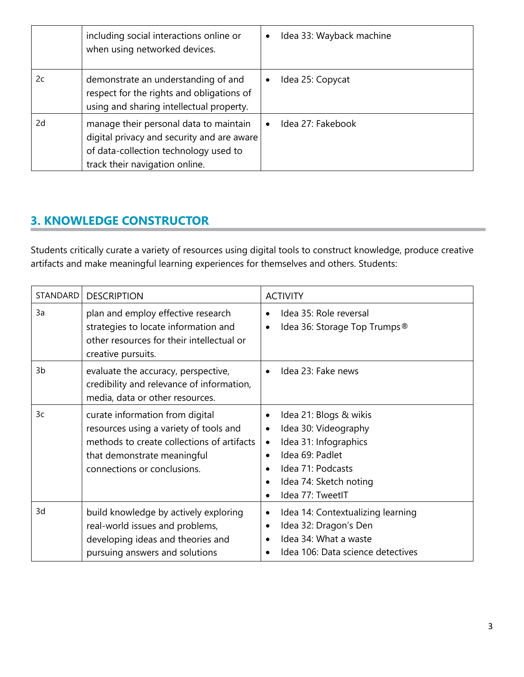|    | including social interactions online or<br>when using networked devices.                                                                                        | Idea 33: Wayback machine |
|----|-----------------------------------------------------------------------------------------------------------------------------------------------------------------|--------------------------|
| 2c | demonstrate an understanding of and<br>respect for the rights and obligations of<br>using and sharing intellectual property.                                    | Idea 25: Copycat         |
| 2d | manage their personal data to maintain<br>digital privacy and security and are aware<br>of data-collection technology used to<br>track their navigation online. | Idea 27: Fakebook        |

# **3. KNOWLEDGE CONSTRUCTOR**

Students critically curate a variety of resources using digital tools to construct knowledge, produce creative artifacts and make meaningful learning experiences for themselves and others. Students:

| STANDARD | <b>DESCRIPTION</b>                                                                                                                                                                    | <b>ACTIVITY</b>                                                                                                                                                                                                                             |
|----------|---------------------------------------------------------------------------------------------------------------------------------------------------------------------------------------|---------------------------------------------------------------------------------------------------------------------------------------------------------------------------------------------------------------------------------------------|
| 3a       | plan and employ effective research<br>strategies to locate information and<br>other resources for their intellectual or<br>creative pursuits.                                         | Idea 35: Role reversal<br>$\bullet$<br>Idea 36: Storage Top Trumps®<br>$\bullet$                                                                                                                                                            |
| 3b       | evaluate the accuracy, perspective,<br>credibility and relevance of information,<br>media, data or other resources.                                                                   | Idea 23: Fake news<br>$\bullet$                                                                                                                                                                                                             |
| 3c       | curate information from digital<br>resources using a variety of tools and<br>methods to create collections of artifacts<br>that demonstrate meaningful<br>connections or conclusions. | Idea 21: Blogs & wikis<br>$\bullet$<br>Idea 30: Videography<br>$\bullet$<br>Idea 31: Infographics<br>$\bullet$<br>Idea 69: Padlet<br>$\bullet$<br>Idea 71: Podcasts<br>$\bullet$<br>Idea 74: Sketch noting<br>$\bullet$<br>Idea 77: TweetIT |
| 3d       | build knowledge by actively exploring<br>real-world issues and problems,<br>developing ideas and theories and<br>pursuing answers and solutions                                       | Idea 14: Contextualizing learning<br>٠<br>Idea 32: Dragon's Den<br>$\bullet$<br>Idea 34: What a waste<br>$\bullet$<br>Idea 106: Data science detectives                                                                                     |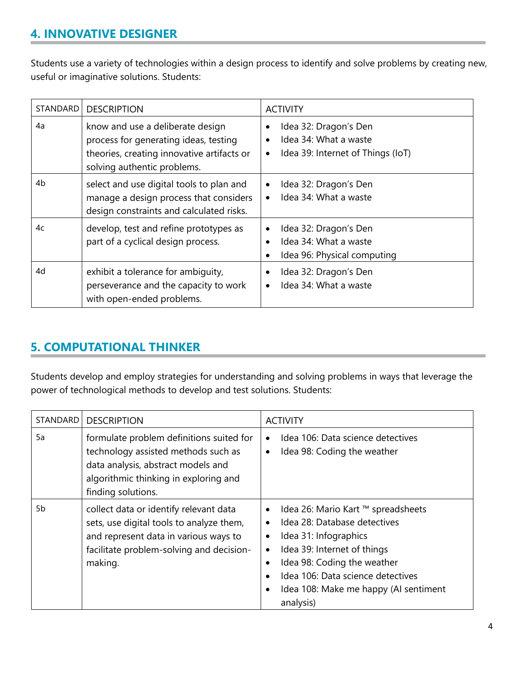### **4. INNOVATIVE DESIGNER**

Students use a variety of technologies within a design process to identify and solve problems by creating new, useful or imaginative solutions. Students:

| STANDARD | <b>DESCRIPTION</b>                                                                                                                                     | <b>ACTIVITY</b>                                                                                  |
|----------|--------------------------------------------------------------------------------------------------------------------------------------------------------|--------------------------------------------------------------------------------------------------|
| 4a       | know and use a deliberate design<br>process for generating ideas, testing<br>theories, creating innovative artifacts or<br>solving authentic problems. | Idea 32: Dragon's Den<br>Idea 34: What a waste<br>Idea 39: Internet of Things (IoT)<br>$\bullet$ |
| 4b       | select and use digital tools to plan and<br>manage a design process that considers<br>design constraints and calculated risks.                         | Idea 32: Dragon's Den<br>$\bullet$<br>Idea 34: What a waste<br>$\bullet$                         |
| 4c       | develop, test and refine prototypes as<br>part of a cyclical design process.                                                                           | Idea 32: Dragon's Den<br>$\bullet$<br>Idea 34: What a waste<br>Idea 96: Physical computing       |
| 4d       | exhibit a tolerance for ambiguity,<br>perseverance and the capacity to work<br>with open-ended problems.                                               | Idea 32: Dragon's Den<br>Idea 34: What a waste<br>$\bullet$                                      |

### **5. COMPUTATIONAL THINKER**

Students develop and employ strategies for understanding and solving problems in ways that leverage the power of technological methods to develop and test solutions. Students:

| STANDARD | <b>DESCRIPTION</b>                                                                                                                                                                   | <b>ACTIVITY</b>                                                                                                                                                                                                                                                                |
|----------|--------------------------------------------------------------------------------------------------------------------------------------------------------------------------------------|--------------------------------------------------------------------------------------------------------------------------------------------------------------------------------------------------------------------------------------------------------------------------------|
| 5a       | formulate problem definitions suited for<br>technology assisted methods such as<br>data analysis, abstract models and<br>algorithmic thinking in exploring and<br>finding solutions. | Idea 106: Data science detectives<br>$\bullet$<br>Idea 98: Coding the weather<br>$\bullet$                                                                                                                                                                                     |
| 5b       | collect data or identify relevant data<br>sets, use digital tools to analyze them,<br>and represent data in various ways to<br>facilitate problem-solving and decision-<br>making.   | Idea 26: Mario Kart ™ spreadsheets<br>Idea 28: Database detectives<br>Idea 31: Infographics<br>$\bullet$<br>Idea 39: Internet of things<br>$\bullet$<br>Idea 98: Coding the weather<br>Idea 106: Data science detectives<br>Idea 108: Make me happy (AI sentiment<br>analysis) |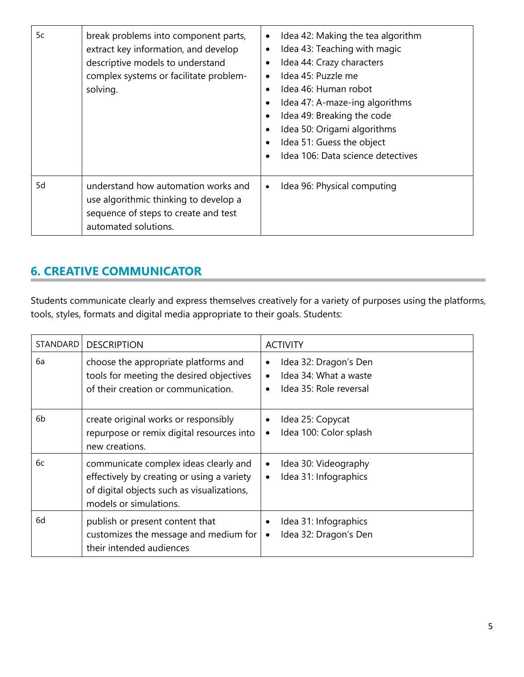| 5c | break problems into component parts,<br>extract key information, and develop<br>descriptive models to understand<br>complex systems or facilitate problem-<br>solving. | Idea 42: Making the tea algorithm<br>Idea 43: Teaching with magic<br>Idea 44: Crazy characters<br>Idea 45: Puzzle me<br>Idea 46: Human robot<br>$\bullet$<br>Idea 47: A-maze-ing algorithms<br>Idea 49: Breaking the code<br>Idea 50: Origami algorithms<br>Idea 51: Guess the object<br>Idea 106: Data science detectives |
|----|------------------------------------------------------------------------------------------------------------------------------------------------------------------------|----------------------------------------------------------------------------------------------------------------------------------------------------------------------------------------------------------------------------------------------------------------------------------------------------------------------------|
| 5d | understand how automation works and<br>use algorithmic thinking to develop a<br>sequence of steps to create and test<br>automated solutions.                           | Idea 96: Physical computing<br>$\bullet$                                                                                                                                                                                                                                                                                   |

# **6. CREATIVE COMMUNICATOR**

Students communicate clearly and express themselves creatively for a variety of purposes using the platforms, tools, styles, formats and digital media appropriate to their goals. Students:

| STANDARD | <b>DESCRIPTION</b>                                                                                                                                          | <b>ACTIVITY</b>                                                                                         |
|----------|-------------------------------------------------------------------------------------------------------------------------------------------------------------|---------------------------------------------------------------------------------------------------------|
| 6a       | choose the appropriate platforms and<br>tools for meeting the desired objectives<br>of their creation or communication.                                     | Idea 32: Dragon's Den<br>٠<br>Idea 34: What a waste<br>$\bullet$<br>Idea 35: Role reversal<br>$\bullet$ |
| 6b       | create original works or responsibly<br>repurpose or remix digital resources into<br>new creations.                                                         | Idea 25: Copycat<br>Idea 100: Color splash<br>$\bullet$                                                 |
| 6с       | communicate complex ideas clearly and<br>effectively by creating or using a variety<br>of digital objects such as visualizations,<br>models or simulations. | Idea 30: Videography<br>$\bullet$<br>Idea 31: Infographics<br>$\bullet$                                 |
| 6d       | publish or present content that<br>customizes the message and medium for<br>their intended audiences                                                        | Idea 31: Infographics<br>Idea 32: Dragon's Den<br>$\bullet$                                             |